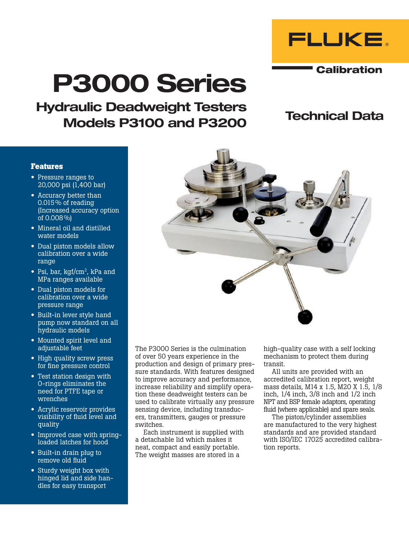

**Calibration** 

# P3000 Series

Hydraulic Deadweight Testers Models P3100 and P3200

## Technical Data

## **Features**

- Pressure ranges to 20,000 psi (1,400 bar)
- Accuracy better than 0.015% of reading (Increased accuracy option of 0.008%)
- Mineral oil and distilled water models
- Dual piston models allow calibration over a wide range
- Psi, bar, kgf/cm<sup>2</sup>, kPa and MPa ranges available
- Dual piston models for calibration over a wide pressure range
- Built-in lever style hand pump now standard on all hydraulic models
- Mounted spirit level and adjustable feet
- High quality screw press for fine pressure control
- Test station design with O-rings eliminates the need for PTFE tape or wrenches
- Acrylic reservoir provides visibility of fluid level and quality
- Improved case with springloaded latches for hood
- Built-in drain plug to remove old fluid
- Sturdy weight box with hinged lid and side handles for easy transport

The P3000 Series is the culmination of over 50 years experience in the production and design of primary pressure standards. With features designed to improve accuracy and performance, increase reliability and simplify operation these deadweight testers can be used to calibrate virtually any pressure sensing device, including transducers, transmitters, gauges or pressure switches.

Each instrument is supplied with a detachable lid which makes it neat, compact and easily portable. The weight masses are stored in a

high-quality case with a self locking mechanism to protect them during transit.

All units are provided with an accredited calibration report, weight mass details, M14 x 1.5, M20 X 1.5, 1/8 inch, 1/4 inch, 3/8 inch and 1/2 inch NPT and BSP female adaptors, operating fluid (where applicable) and spare seals.

The piston/cylinder assemblies are manufactured to the very highest standards and are provided standard with ISO/IEC 17025 accredited calibration reports.

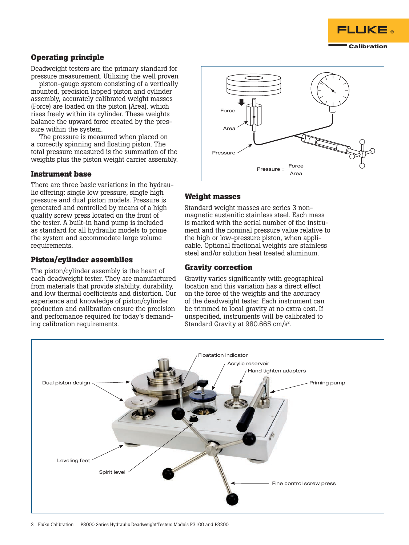

## **Operating principle**

Deadweight testers are the primary standard for pressure measurement. Utilizing the well proven

piston-gauge system consisting of a vertically mounted, precision lapped piston and cylinder assembly, accurately calibrated weight masses (Force) are loaded on the piston (Area), which rises freely within its cylinder. These weights balance the upward force created by the pressure within the system.

The pressure is measured when placed on a correctly spinning and floating piston. The total pressure measured is the summation of the weights plus the piston weight carrier assembly.

## **Instrument base**

There are three basic variations in the hydraulic offering; single low pressure, single high pressure and dual piston models. Pressure is generated and controlled by means of a high quality screw press located on the front of the tester. A built-in hand pump is included as standard for all hydraulic models to prime the system and accommodate large volume requirements.

## **Piston/cylinder assemblies**

The piston/cylinder assembly is the heart of each deadweight tester. They are manufactured from materials that provide stability, durability, and low thermal coefficients and distortion. Our experience and knowledge of piston/cylinder production and calibration ensure the precision and performance required for today's demanding calibration requirements.



## **Weight masses**

Standard weight masses are series 3 nonmagnetic austenitic stainless steel. Each mass is marked with the serial number of the instrument and the nominal pressure value relative to the high or low-pressure piston, when applicable. Optional fractional weights are stainless steel and/or solution heat treated aluminum.

## **Gravity correction**

Gravity varies significantly with geographical location and this variation has a direct effect on the force of the weights and the accuracy of the deadweight tester. Each instrument can be trimmed to local gravity at no extra cost. If unspecified, instruments will be calibrated to Standard Gravity at 980.665 cm/s2.

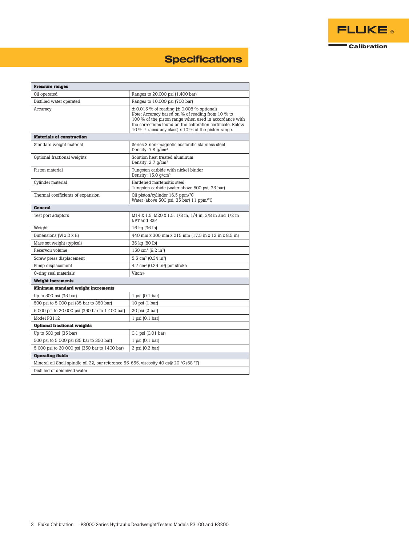

# **Specifications**

| <b>Pressure ranges</b>                                                                 |                                                                                                                                                                                                                                                                                             |  |  |  |  |  |
|----------------------------------------------------------------------------------------|---------------------------------------------------------------------------------------------------------------------------------------------------------------------------------------------------------------------------------------------------------------------------------------------|--|--|--|--|--|
| Oil operated                                                                           | Ranges to 20,000 psi (1,400 bar)                                                                                                                                                                                                                                                            |  |  |  |  |  |
| Distilled water operated                                                               | Ranges to 10,000 psi (700 bar)                                                                                                                                                                                                                                                              |  |  |  |  |  |
| Accuracy                                                                               | $\pm$ 0.015 % of reading ( $\pm$ 0.008 % optional)<br>Note: Accuracy based on % of reading from 10 % to<br>100 % of the piston range when used in accordance with<br>the corrections found on the calibration certificate. Below<br>10 % $\pm$ (accuracy class) x 10 % of the piston range. |  |  |  |  |  |
| <b>Materials of construction</b>                                                       |                                                                                                                                                                                                                                                                                             |  |  |  |  |  |
| Standard weight material                                                               | Series 3 non-magnetic austenitic stainless steel<br>Density: $7.8$ g/cm <sup>3</sup>                                                                                                                                                                                                        |  |  |  |  |  |
| Optional fractional weights                                                            | Solution heat treated aluminum<br>Density: $2.7$ $q/cm^3$                                                                                                                                                                                                                                   |  |  |  |  |  |
| Piston material                                                                        | Tungsten carbide with nickel binder<br>Density: $15.0$ g/cm <sup>3</sup>                                                                                                                                                                                                                    |  |  |  |  |  |
| Cylinder material                                                                      | Hardened martensitic steel<br>Tungsten carbide (water above 500 psi, 35 bar)                                                                                                                                                                                                                |  |  |  |  |  |
| Thermal coefficients of expansion                                                      | Oil piston/cylinder 16.5 ppm/°C<br>Water (above 500 psi, 35 bar) 11 ppm/°C                                                                                                                                                                                                                  |  |  |  |  |  |
| <b>General</b>                                                                         |                                                                                                                                                                                                                                                                                             |  |  |  |  |  |
| Test port adaptors                                                                     | M14 X 1.5, M20 X 1.5, 1/8 in, 1/4 in, 3/8 in and 1/2 in<br>NPT and BSP                                                                                                                                                                                                                      |  |  |  |  |  |
| Weight                                                                                 | 16 kg (36 lb)                                                                                                                                                                                                                                                                               |  |  |  |  |  |
| Dimensions (W x D x H)                                                                 | 440 mm x 300 mm x 215 mm (17.5 in x 12 in x 8.5 in)                                                                                                                                                                                                                                         |  |  |  |  |  |
| Mass set weight (typical)                                                              | 36 kg (80 lb)                                                                                                                                                                                                                                                                               |  |  |  |  |  |
| Reservoir volume                                                                       | 150 cm <sup>3</sup> (9.2 in <sup>3</sup> )                                                                                                                                                                                                                                                  |  |  |  |  |  |
| Screw press displacement                                                               | 5.5 cm <sup>3</sup> (0.34 in <sup>3</sup> )                                                                                                                                                                                                                                                 |  |  |  |  |  |
| Pump displacement                                                                      | $4.7 \text{ cm}^3$ (0.29 in <sup>3</sup> ) per stroke                                                                                                                                                                                                                                       |  |  |  |  |  |
| 0-ring seal materials                                                                  | Viton®                                                                                                                                                                                                                                                                                      |  |  |  |  |  |
| <b>Weight increments</b>                                                               |                                                                                                                                                                                                                                                                                             |  |  |  |  |  |
| <b>Minimum standard weight increments</b>                                              |                                                                                                                                                                                                                                                                                             |  |  |  |  |  |
| Up to 500 psi (35 bar)                                                                 | $1$ psi $(0.1$ bar)                                                                                                                                                                                                                                                                         |  |  |  |  |  |
| 500 psi to 5 000 psi (35 bar to 350 bar)                                               | $10$ psi $(1$ bar)                                                                                                                                                                                                                                                                          |  |  |  |  |  |
| 5 000 psi to 20 000 psi (350 bar to 1 400 bar)                                         | 20 psi (2 bar)                                                                                                                                                                                                                                                                              |  |  |  |  |  |
| Model P3112                                                                            | $1$ psi $(0.1$ bar)                                                                                                                                                                                                                                                                         |  |  |  |  |  |
| <b>Optional fractional weights</b>                                                     |                                                                                                                                                                                                                                                                                             |  |  |  |  |  |
| Up to 500 psi (35 bar)                                                                 | $0.1$ psi $(0.01$ bar)                                                                                                                                                                                                                                                                      |  |  |  |  |  |
| 500 psi to 5 000 psi (35 bar to 350 bar)                                               | $1$ psi $(0.1$ bar)                                                                                                                                                                                                                                                                         |  |  |  |  |  |
| 5 000 psi to 20 000 psi (350 bar to 1400 bar)                                          | $2$ psi $(0.2$ bar)                                                                                                                                                                                                                                                                         |  |  |  |  |  |
| <b>Operating fluids</b>                                                                |                                                                                                                                                                                                                                                                                             |  |  |  |  |  |
| Mineral oil Shell spindle oil 22, our reference 55-655, viscosity 40 cs@ 20 °C (68 °F) |                                                                                                                                                                                                                                                                                             |  |  |  |  |  |
| Distilled or deionized water                                                           |                                                                                                                                                                                                                                                                                             |  |  |  |  |  |